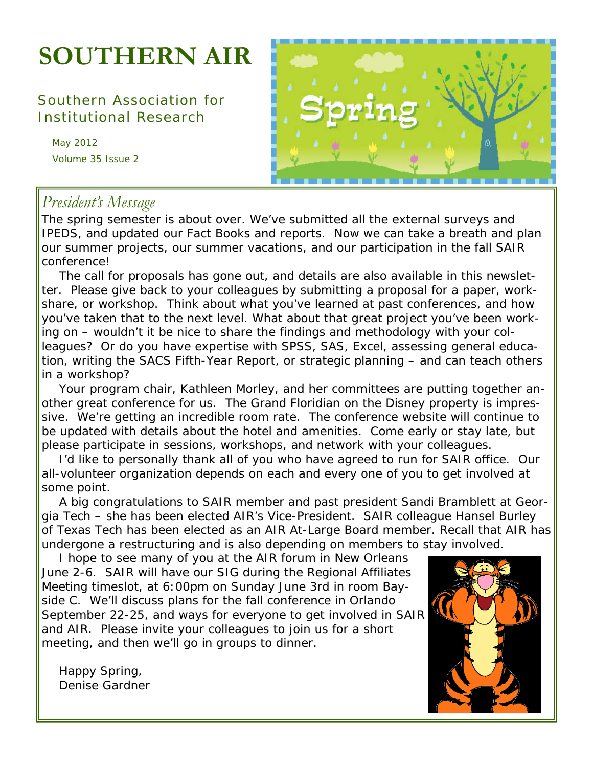# **SOUTHERN AIR**

## Southern Association for Institutional Research

May 2012 Volume 35 Issue 2



# *President's Message*

The spring semester is about over. We've submitted all the external surveys and IPEDS, and updated our Fact Books and reports. Now we can take a breath and plan our summer projects, our summer vacations, and our participation in the fall SAIR conference!

 The call for proposals has gone out, and details are also available in this newsletter. Please give back to your colleagues by submitting a proposal for a paper, workshare, or workshop. Think about what you've learned at past conferences, and how you've taken that to the next level. What about that great project you've been working on – wouldn't it be nice to share the findings and methodology with your colleagues? Or do you have expertise with SPSS, SAS, Excel, assessing general education, writing the SACS Fifth-Year Report, or strategic planning – and can teach others in a workshop?

 Your program chair, Kathleen Morley, and her committees are putting together another great conference for us. The Grand Floridian on the Disney property is impressive. We're getting an incredible room rate. The conference website will continue to be updated with details about the hotel and amenities. Come early or stay late, but please participate in sessions, workshops, and network with your colleagues.

 I'd like to personally thank all of you who have agreed to run for SAIR office. Our all-volunteer organization depends on each and every one of you to get involved at some point.

 A big congratulations to SAIR member and past president Sandi Bramblett at Georgia Tech – she has been elected AIR's Vice-President. SAIR colleague Hansel Burley of Texas Tech has been elected as an AIR At-Large Board member. Recall that AIR has undergone a restructuring and is also depending on members to stay involved.

 I hope to see many of you at the AIR forum in New Orleans June 2-6. SAIR will have our SIG during the Regional Affiliates Meeting timeslot, at 6:00pm on Sunday June 3rd in room Bayside C. We'll discuss plans for the fall conference in Orlando September 22-25, and ways for everyone to get involved in SAIR and AIR. Please invite your colleagues to join us for a short meeting, and then we'll go in groups to dinner.

 Happy Spring, Denise Gardner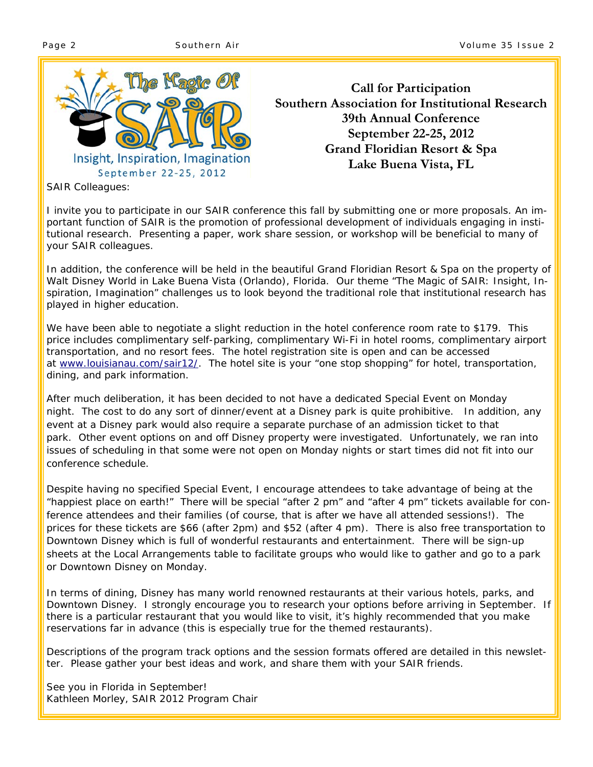

Insight, Inspiration, Imagination September 22-25, 2012

**Call for Participation Southern Association for Institutional Research 39th Annual Conference September 22-25, 2012 Grand Floridian Resort & Spa Lake Buena Vista, FL** 

SAIR Colleagues:

I invite you to participate in our SAIR conference this fall by submitting one or more proposals. An important function of SAIR is the promotion of professional development of individuals engaging in institutional research. Presenting a paper, work share session, or workshop will be beneficial to many of your SAIR colleagues.

In addition, the conference will be held in the beautiful Grand Floridian Resort & Spa on the property of Walt Disney World in Lake Buena Vista (Orlando), Florida. Our theme "The Magic of SAIR: Insight, Inspiration, Imagination" challenges us to look beyond the traditional role that institutional research has played in higher education.

We have been able to negotiate a slight reduction in the hotel conference room rate to \$179. This price includes complimentary self-parking, complimentary Wi-Fi in hotel rooms, complimentary airport transportation, and no resort fees. The hotel registration site is open and can be accessed at www.louisianau.com/sair12/. The hotel site is your "one stop shopping" for hotel, transportation, dining, and park information.

After much deliberation, it has been decided to not have a dedicated Special Event on Monday night. The cost to do any sort of dinner/event at a Disney park is quite prohibitive. In addition, any event at a Disney park would also require a separate purchase of an admission ticket to that park. Other event options on and off Disney property were investigated. Unfortunately, we ran into issues of scheduling in that some were not open on Monday nights or start times did not fit into our conference schedule.

Despite having no specified Special Event, I encourage attendees to take advantage of being at the "happiest place on earth!" There will be special "after 2 pm" and "after 4 pm" tickets available for conference attendees and their families (of course, that is after we have all attended sessions!). The prices for these tickets are \$66 (after 2pm) and \$52 (after 4 pm). There is also free transportation to Downtown Disney which is full of wonderful restaurants and entertainment. There will be sign-up sheets at the Local Arrangements table to facilitate groups who would like to gather and go to a park or Downtown Disney on Monday.

In terms of dining, Disney has many world renowned restaurants at their various hotels, parks, and Downtown Disney. I strongly encourage you to research your options before arriving in September. If there is a particular restaurant that you would like to visit, it's highly recommended that you make reservations far in advance (this is especially true for the themed restaurants).

Descriptions of the program track options and the session formats offered are detailed in this newsletter. Please gather your best ideas and work, and share them with your SAIR friends.

See you in Florida in September! Kathleen Morley, SAIR 2012 Program Chair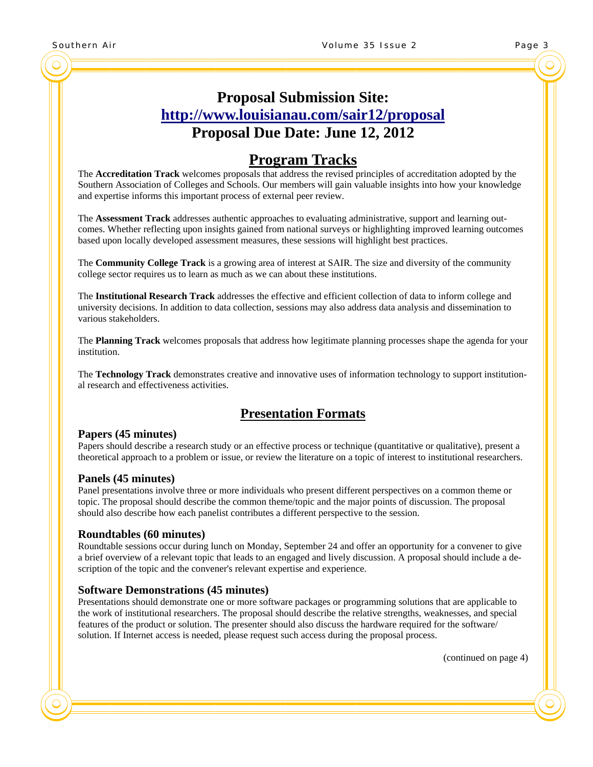# **Proposal Submission Site: http://www.louisianau.com/sair12/proposal Proposal Due Date: June 12, 2012**

## **Program Tracks**

The **Accreditation Track** welcomes proposals that address the revised principles of accreditation adopted by the Southern Association of Colleges and Schools. Our members will gain valuable insights into how your knowledge and expertise informs this important process of external peer review.

The **Assessment Track** addresses authentic approaches to evaluating administrative, support and learning outcomes. Whether reflecting upon insights gained from national surveys or highlighting improved learning outcomes based upon locally developed assessment measures, these sessions will highlight best practices.

The **Community College Track** is a growing area of interest at SAIR. The size and diversity of the community college sector requires us to learn as much as we can about these institutions.

The **Institutional Research Track** addresses the effective and efficient collection of data to inform college and university decisions. In addition to data collection, sessions may also address data analysis and dissemination to various stakeholders.

The **Planning Track** welcomes proposals that address how legitimate planning processes shape the agenda for your institution.

The **Technology Track** demonstrates creative and innovative uses of information technology to support institutional research and effectiveness activities.

### **Presentation Formats**

**Papers (45 minutes)**<br>Papers should describe a research study or an effective process or technique (quantitative or qualitative), present a theoretical approach to a problem or issue, or review the literature on a topic of interest to institutional researchers.

**Panels (45 minutes)**<br>Panel presentations involve three or more individuals who present different perspectives on a common theme or topic. The proposal should describe the common theme/topic and the major points of discussion. The proposal should also describe how each panelist contributes a different perspective to the session.

**Roundtables (60 minutes)**<br>Roundtable sessions occur during lunch on Monday, September 24 and offer an opportunity for a convener to give a brief overview of a relevant topic that leads to an engaged and lively discussion. A proposal should include a description of the topic and the convener's relevant expertise and experience.

**Software Demonstrations (45 minutes)**<br>Presentations should demonstrate one or more software packages or programming solutions that are applicable to the work of institutional researchers. The proposal should describe the relative strengths, weaknesses, and special features of the product or solution. The presenter should also discuss the hardware required for the software/ solution. If Internet access is needed, please request such access during the proposal process.

(continued on page 4)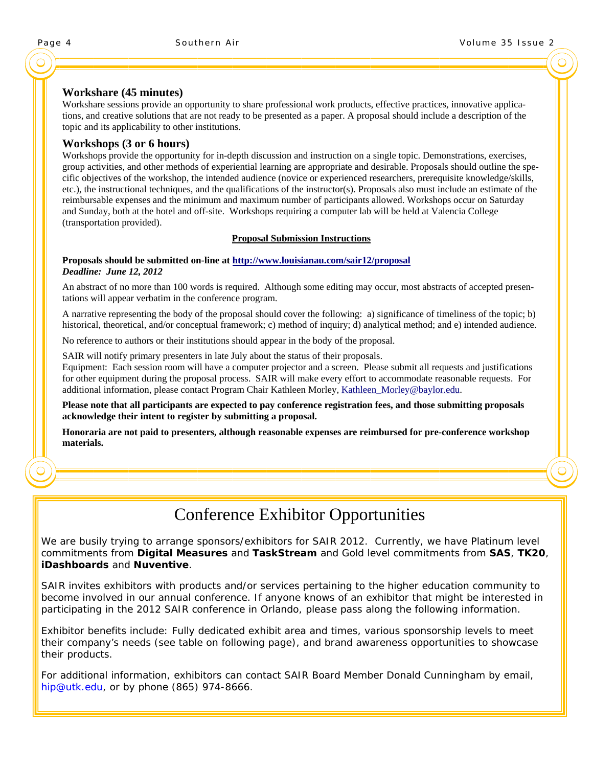**Workshare (45 minutes)**<br>Workshare sessions provide an opportunity to share professional work products, effective practices, innovative applications, and creative solutions that are not ready to be presented as a paper. A proposal should include a description of the topic and its applicability to other institutions.

**Workshops (3 or 6 hours)**<br>Workshops provide the opportunity for in-depth discussion and instruction on a single topic. Demonstrations, exercises, group activities, and other methods of experiential learning are appropriate and desirable. Proposals should outline the specific objectives of the workshop, the intended audience (novice or experienced researchers, prerequisite knowledge/skills, etc.), the instructional techniques, and the qualifications of the instructor(s). Proposals also must include an estimate of the reimbursable expenses and the minimum and maximum number of participants allowed. Workshops occur on Saturday and Sunday, both at the hotel and off-site. Workshops requiring a computer lab will be held at Valencia College (transportation provided).

#### **Proposal Submission Instructions**

#### **Proposals should be submitted on-line at http://www.louisianau.com/sair12/proposal**  *Deadline: June 12, 2012*

An abstract of no more than 100 words is required. Although some editing may occur, most abstracts of accepted presentations will appear verbatim in the conference program.

A narrative representing the body of the proposal should cover the following: a) significance of timeliness of the topic; b) historical, theoretical, and/or conceptual framework; c) method of inquiry; d) analytical method; and e) intended audience.

No reference to authors or their institutions should appear in the body of the proposal.

SAIR will notify primary presenters in late July about the status of their proposals.

Equipment: Each session room will have a computer projector and a screen. Please submit all requests and justifications for other equipment during the proposal process. SAIR will make every effort to accommodate reasonable requests. For additional information, please contact Program Chair Kathleen Morley, Kathleen\_Morley@baylor.edu.

**Please note that all participants are expected to pay conference registration fees, and those submitting proposals acknowledge their intent to register by submitting a proposal.** 

**Honoraria are not paid to presenters, although reasonable expenses are reimbursed for pre-conference workshop materials.** 

# Conference Exhibitor Opportunities

We are busily trying to arrange sponsors/exhibitors for SAIR 2012. Currently, we have Platinum level commitments from **Digital Measures** and **TaskStream** and Gold level commitments from **SAS**, **TK20**, **iDashboards** and **Nuventive**.

SAIR invites exhibitors with products and/or services pertaining to the higher education community to become involved in our annual conference. If anyone knows of an exhibitor that might be interested in participating in the 2012 SAIR conference in Orlando, please pass along the following information.

Exhibitor benefits include: Fully dedicated exhibit area and times, various sponsorship levels to meet their company's needs (see table on following page), and brand awareness opportunities to showcase their products.

For additional information, exhibitors can contact SAIR Board Member Donald Cunningham by email, hip@utk.edu, or by phone (865) 974-8666.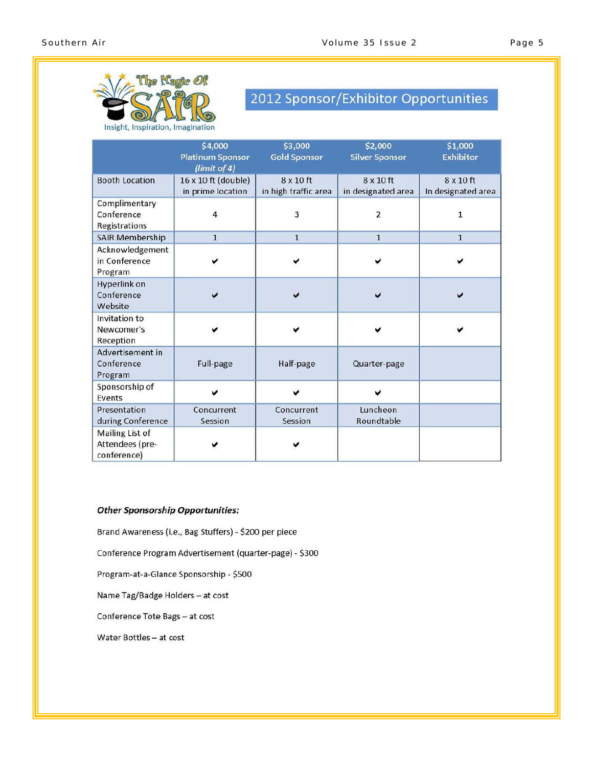

# 2012 Sponsor/Exhibitor Opportunities

|                                                   | \$4,000<br><b>Platinum Sponsor</b><br>(limit of 4) | \$3,000<br><b>Gold Sponsor</b>           | \$1,000<br><b>Exhibitor</b>            |                                        |  |  |  |
|---------------------------------------------------|----------------------------------------------------|------------------------------------------|----------------------------------------|----------------------------------------|--|--|--|
| <b>Booth Location</b>                             | 16 x 10 ft (double)<br>in prime location           | $8 \times 10$ ft<br>in high traffic area | $8 \times 10$ ft<br>in designated area | $8 \times 10$ ft<br>In designated area |  |  |  |
| Complimentary<br>Conference<br>Registrations      | 4                                                  | 3                                        | $\overline{2}$                         | $\mathbf{1}$                           |  |  |  |
| <b>SAIR Membership</b>                            | $\mathbf{1}$                                       | $\overline{1}$                           | $\overline{1}$                         | $\overline{1}$                         |  |  |  |
| Acknowledgement<br>in Conference<br>Program       |                                                    |                                          |                                        |                                        |  |  |  |
| Hyperlink on<br>Conference<br>Website             |                                                    |                                          |                                        |                                        |  |  |  |
| Invitation to<br>Newcomer's<br>Reception          |                                                    |                                          |                                        |                                        |  |  |  |
| Advertisement in<br>Conference<br>Program         | Full-page                                          | Half-page                                | Quarter-page                           |                                        |  |  |  |
| Sponsorship of<br>Events                          |                                                    |                                          |                                        |                                        |  |  |  |
| Presentation<br>during Conference                 | Concurrent<br>Session                              | Concurrent<br>Session                    | Luncheon<br>Roundtable                 |                                        |  |  |  |
| Mailing List of<br>Attendees (pre-<br>conference) |                                                    |                                          |                                        |                                        |  |  |  |

#### **Other Sponsorship Opportunities:**

Brand Awareness (i.e., Bag Stuffers) - \$200 per piece

Conference Program Advertisement (quarter-page) - \$300

Program-at-a-Glance Sponsorship - \$500

Name Tag/Badge Holders - at cost

Conference Tote Bags - at cost

Water Bottles - at cost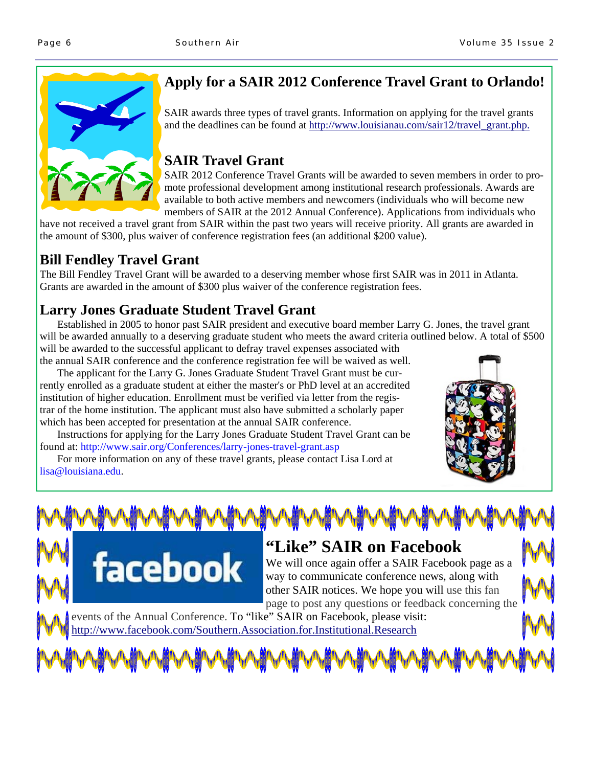

# **Apply for a SAIR 2012 Conference Travel Grant to Orlando!**

SAIR awards three types of travel grants. Information on applying for the travel grants and the deadlines can be found at http://www.louisianau.com/sair12/travel\_grant.php.

# **SAIR Travel Grant**

SAIR 2012 Conference Travel Grants will be awarded to seven members in order to promote professional development among institutional research professionals. Awards are available to both active members and newcomers (individuals who will become new members of SAIR at the 2012 Annual Conference). Applications from individuals who

have not received a travel grant from SAIR within the past two years will receive priority. All grants are awarded in the amount of \$300, plus waiver of conference registration fees (an additional \$200 value).

# **Bill Fendley Travel Grant**

The Bill Fendley Travel Grant will be awarded to a deserving member whose first SAIR was in 2011 in Atlanta. Grants are awarded in the amount of \$300 plus waiver of the conference registration fees.

# **Larry Jones Graduate Student Travel Grant**

facebook

Established in 2005 to honor past SAIR president and executive board member Larry G. Jones, the travel grant will be awarded annually to a deserving graduate student who meets the award criteria outlined below. A total of \$500 will be awarded to the successful applicant to defray travel expenses associated with

the annual SAIR conference and the conference registration fee will be waived as well. The applicant for the Larry G. Jones Graduate Student Travel Grant must be currently enrolled as a graduate student at either the master's or PhD level at an accredited institution of higher education. Enrollment must be verified via letter from the registrar of the home institution. The applicant must also have submitted a scholarly paper

which has been accepted for presentation at the annual SAIR conference. Instructions for applying for the Larry Jones Graduate Student Travel Grant can be found at: http://www.sair.org/Conferences/larry-jones-travel-grant.asp

 For more information on any of these travel grants, please contact Lisa Lord at lisa@louisiana.edu.



### **"Like" SAIR on Facebook**  We will once again offer a SAIR Facebook page as a

way to communicate conference news, along with other SAIR notices. We hope you will use this fan page to post any questions or feedback concerning the

events of the Annual Conference. To "like" SAIR on Facebook, please visit: http://www.facebook.com/Southern.Association.for.Institutional.Research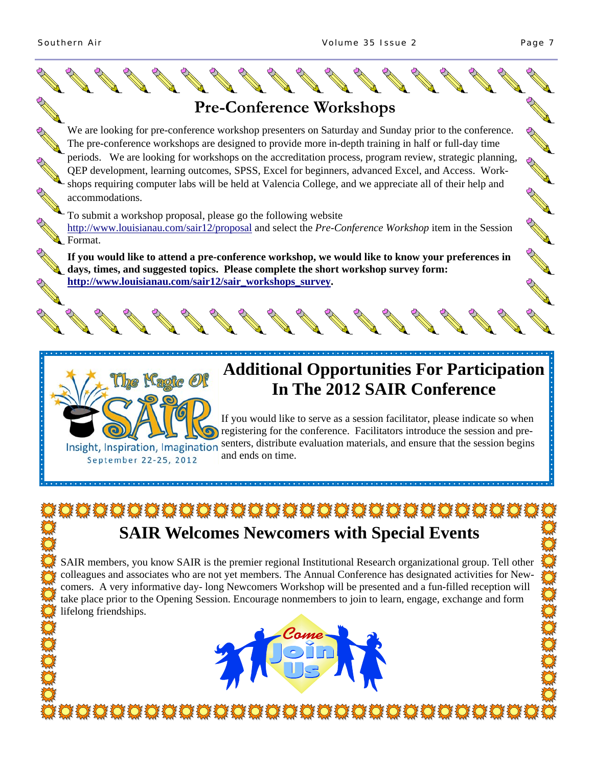

\*\*\*\*\*\*\*\*\*\*\*\*\*\*\*\*\*\*\*\*\*\*\*\*\*\*\*\*\*\*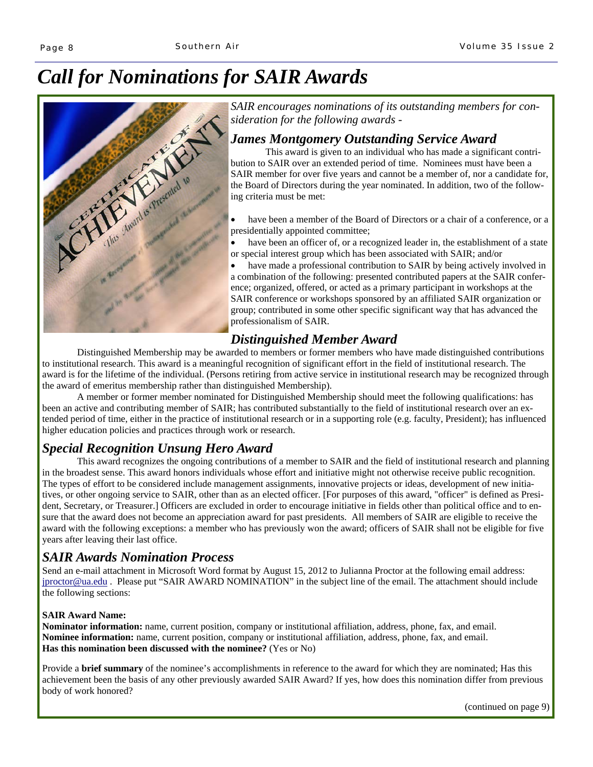# *Call for Nominations for SAIR Awards*



*SAIR encourages nominations of its outstanding members for consideration for the following awards -* 

### *James Montgomery Outstanding Service Award*

 This award is given to an individual who has made a significant contribution to SAIR over an extended period of time. Nominees must have been a SAIR member for over five years and cannot be a member of, nor a candidate for, the Board of Directors during the year nominated. In addition, two of the following criteria must be met:

 have been a member of the Board of Directors or a chair of a conference, or a presidentially appointed committee;

 have been an officer of, or a recognized leader in, the establishment of a state or special interest group which has been associated with SAIR; and/or

 have made a professional contribution to SAIR by being actively involved in a combination of the following: presented contributed papers at the SAIR conference; organized, offered, or acted as a primary participant in workshops at the SAIR conference or workshops sponsored by an affiliated SAIR organization or group; contributed in some other specific significant way that has advanced the professionalism of SAIR.

### *Distinguished Member Award*

 Distinguished Membership may be awarded to members or former members who have made distinguished contributions to institutional research. This award is a meaningful recognition of significant effort in the field of institutional research. The award is for the lifetime of the individual. (Persons retiring from active service in institutional research may be recognized through the award of emeritus membership rather than distinguished Membership).

 A member or former member nominated for Distinguished Membership should meet the following qualifications: has been an active and contributing member of SAIR; has contributed substantially to the field of institutional research over an extended period of time, either in the practice of institutional research or in a supporting role (e.g. faculty, President); has influenced higher education policies and practices through work or research.

### *Special Recognition Unsung Hero Award*

 This award recognizes the ongoing contributions of a member to SAIR and the field of institutional research and planning in the broadest sense. This award honors individuals whose effort and initiative might not otherwise receive public recognition. The types of effort to be considered include management assignments, innovative projects or ideas, development of new initiatives, or other ongoing service to SAIR, other than as an elected officer. [For purposes of this award, "officer" is defined as President, Secretary, or Treasurer.] Officers are excluded in order to encourage initiative in fields other than political office and to ensure that the award does not become an appreciation award for past presidents. All members of SAIR are eligible to receive the award with the following exceptions: a member who has previously won the award; officers of SAIR shall not be eligible for five years after leaving their last office.

### *SAIR Awards Nomination Process*

Send an e-mail attachment in Microsoft Word format by August 15, 2012 to Julianna Proctor at the following email address: jproctor@ua.edu . Please put "SAIR AWARD NOMINATION" in the subject line of the email. The attachment should include the following sections:

#### **SAIR Award Name:**

**Nominator information:** name, current position, company or institutional affiliation, address, phone, fax, and email. **Nominee information:** name, current position, company or institutional affiliation, address, phone, fax, and email. **Has this nomination been discussed with the nominee?** (Yes or No)

Provide a **brief summary** of the nominee's accomplishments in reference to the award for which they are nominated; Has this achievement been the basis of any other previously awarded SAIR Award? If yes, how does this nomination differ from previous body of work honored?

(continued on page 9)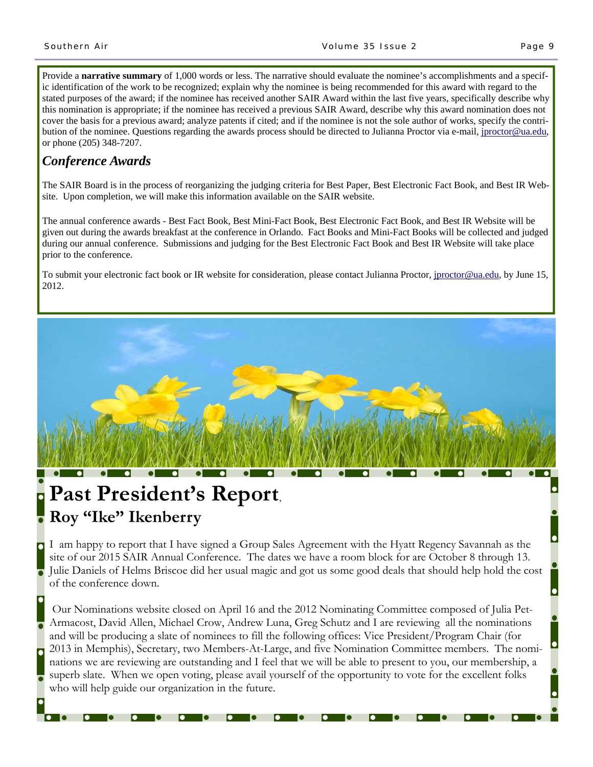$\bullet$ 

 $\bullet$ 

 $\bullet$ 

 $\bullet$ 

 $\bullet$ 

 $\bullet$ 

 $\bullet$ 

Provide a **narrative summary** of 1,000 words or less. The narrative should evaluate the nominee's accomplishments and a specific identification of the work to be recognized; explain why the nominee is being recommended for this award with regard to the stated purposes of the award; if the nominee has received another SAIR Award within the last five years, specifically describe why this nomination is appropriate; if the nominee has received a previous SAIR Award, describe why this award nomination does not cover the basis for a previous award; analyze patents if cited; and if the nominee is not the sole author of works, specify the contribution of the nominee. Questions regarding the awards process should be directed to Julianna Proctor via e-mail, jproctor@ua.edu, or phone (205) 348-7207.

### *Conference Awards*

The SAIR Board is in the process of reorganizing the judging criteria for Best Paper, Best Electronic Fact Book, and Best IR Website. Upon completion, we will make this information available on the SAIR website.

The annual conference awards - Best Fact Book, Best Mini-Fact Book, Best Electronic Fact Book, and Best IR Website will be given out during the awards breakfast at the conference in Orlando. Fact Books and Mini-Fact Books will be collected and judged during our annual conference. Submissions and judging for the Best Electronic Fact Book and Best IR Website will take place prior to the conference.

To submit your electronic fact book or IR website for consideration, please contact Julianna Proctor, jproctor@ua.edu, by June 15, 2012.



# **Past President's Report**, **Roy "Ike" Ikenberry**

I am happy to report that I have signed a Group Sales Agreement with the Hyatt Regency Savannah as the site of our 2015 SAIR Annual Conference. The dates we have a room block for are October 8 through 13. Julie Daniels of Helms Briscoe did her usual magic and got us some good deals that should help hold the cost of the conference down.

 Our Nominations website closed on April 16 and the 2012 Nominating Committee composed of Julia Pet-Armacost, David Allen, Michael Crow, Andrew Luna, Greg Schutz and I are reviewing all the nominations and will be producing a slate of nominees to fill the following offices: Vice President/Program Chair (for 2013 in Memphis), Secretary, two Members-At-Large, and five Nomination Committee members. The nominations we are reviewing are outstanding and I feel that we will be able to present to you, our membership, a superb slate. When we open voting, please avail yourself of the opportunity to vote for the excellent folks who will help guide our organization in the future.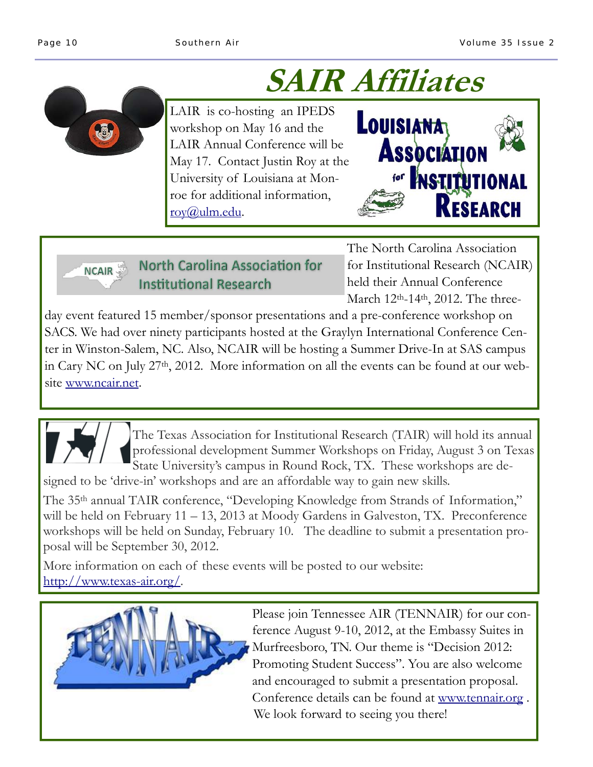# **SAIR Affiliates**

LAIR is co-hosting an IPEDS workshop on May 16 and the LAIR Annual Conference will be May 17. Contact Justin Roy at the University of Louisiana at Monroe for additional information, roy@ulm.edu.



North Carolina Association for **NCAIR Institutional Research** 

The North Carolina Association for Institutional Research (NCAIR) held their Annual Conference March 12<sup>th</sup>-14<sup>th</sup>, 2012. The three-

day event featured 15 member/sponsor presentations and a pre-conference workshop on SACS. We had over ninety participants hosted at the Graylyn International Conference Center in Winston-Salem, NC. Also, NCAIR will be hosting a Summer Drive-In at SAS campus in Cary NC on July 27th, 2012. More information on all the events can be found at our website www.ncair.net.



The Texas Association for Institutional Research (TAIR) will hold its annual professional development Summer Workshops on Friday, August 3 on Texas State University's campus in Round Rock, TX. These workshops are de-

signed to be 'drive-in' workshops and are an affordable way to gain new skills.

The 35<sup>th</sup> annual TAIR conference, "Developing Knowledge from Strands of Information," will be held on February 11 – 13, 2013 at Moody Gardens in Galveston, TX. Preconference workshops will be held on Sunday, February 10. The deadline to submit a presentation proposal will be September 30, 2012.

More information on each of these events will be posted to our website: http://www.texas-air.org/.



Please join Tennessee AIR (TENNAIR) for our conference August 9-10, 2012, at the Embassy Suites in Murfreesboro, TN. Our theme is "Decision 2012: Promoting Student Success". You are also welcome and encouraged to submit a presentation proposal. Conference details can be found at www.tennair.org . We look forward to seeing you there!